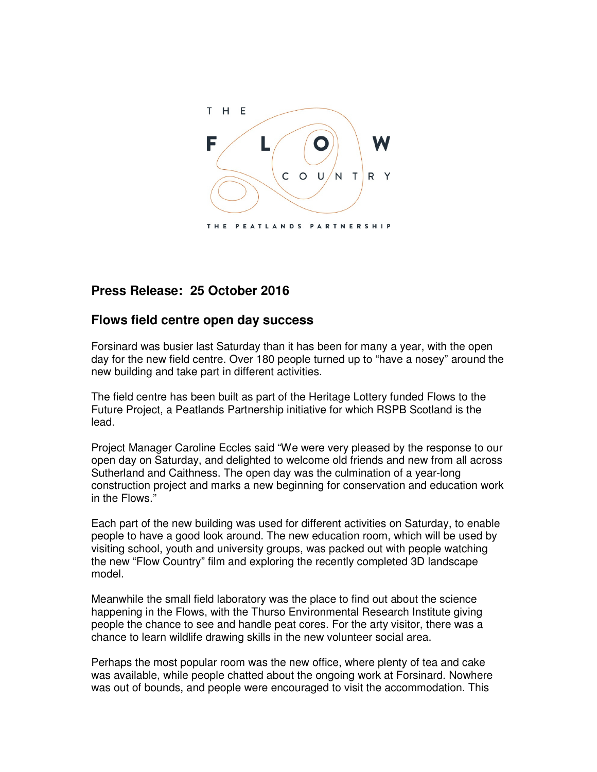

## **Press Release: 25 October 2016**

## **Flows field centre open day success**

Forsinard was busier last Saturday than it has been for many a year, with the open day for the new field centre. Over 180 people turned up to "have a nosey" around the new building and take part in different activities.

The field centre has been built as part of the Heritage Lottery funded Flows to the Future Project, a Peatlands Partnership initiative for which RSPB Scotland is the lead.

Project Manager Caroline Eccles said "We were very pleased by the response to our open day on Saturday, and delighted to welcome old friends and new from all across Sutherland and Caithness. The open day was the culmination of a year-long construction project and marks a new beginning for conservation and education work in the Flows."

Each part of the new building was used for different activities on Saturday, to enable people to have a good look around. The new education room, which will be used by visiting school, youth and university groups, was packed out with people watching the new "Flow Country" film and exploring the recently completed 3D landscape model.

Meanwhile the small field laboratory was the place to find out about the science happening in the Flows, with the Thurso Environmental Research Institute giving people the chance to see and handle peat cores. For the arty visitor, there was a chance to learn wildlife drawing skills in the new volunteer social area.

Perhaps the most popular room was the new office, where plenty of tea and cake was available, while people chatted about the ongoing work at Forsinard. Nowhere was out of bounds, and people were encouraged to visit the accommodation. This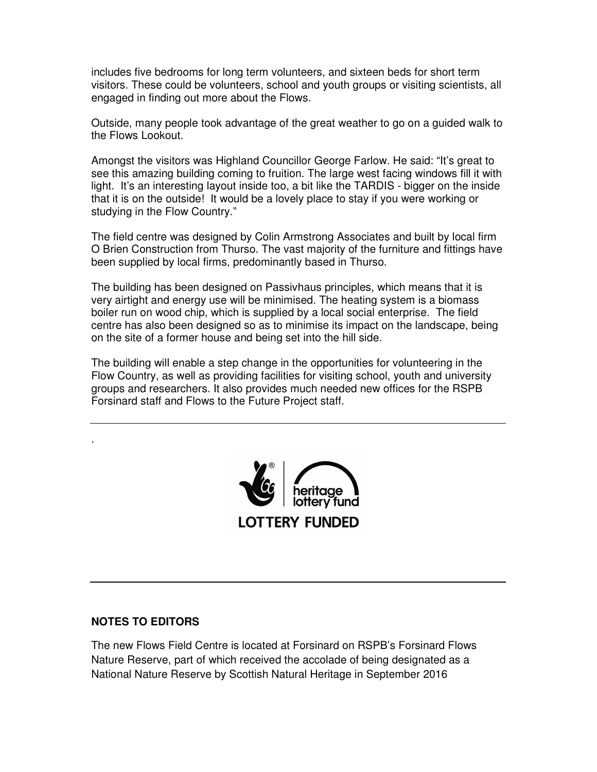includes five bedrooms for long term volunteers, and sixteen beds for short term visitors. These could be volunteers, school and youth groups or visiting scientists, all engaged in finding out more about the Flows.

Outside, many people took advantage of the great weather to go on a guided walk to the Flows Lookout.

Amongst the visitors was Highland Councillor George Farlow. He said: "It's great to see this amazing building coming to fruition. The large west facing windows fill it with light. It's an interesting layout inside too, a bit like the TARDIS - bigger on the inside that it is on the outside! It would be a lovely place to stay if you were working or studying in the Flow Country."

The field centre was designed by Colin Armstrong Associates and built by local firm O Brien Construction from Thurso. The vast majority of the furniture and fittings have been supplied by local firms, predominantly based in Thurso.

The building has been designed on Passivhaus principles, which means that it is very airtight and energy use will be minimised. The heating system is a biomass boiler run on wood chip, which is supplied by a local social enterprise. The field centre has also been designed so as to minimise its impact on the landscape, being on the site of a former house and being set into the hill side.

The building will enable a step change in the opportunities for volunteering in the Flow Country, as well as providing facilities for visiting school, youth and university groups and researchers. It also provides much needed new offices for the RSPB Forsinard staff and Flows to the Future Project staff.



## **NOTES TO EDITORS**

.

The new Flows Field Centre is located at Forsinard on RSPB's Forsinard Flows Nature Reserve, part of which received the accolade of being designated as a National Nature Reserve by Scottish Natural Heritage in September 2016